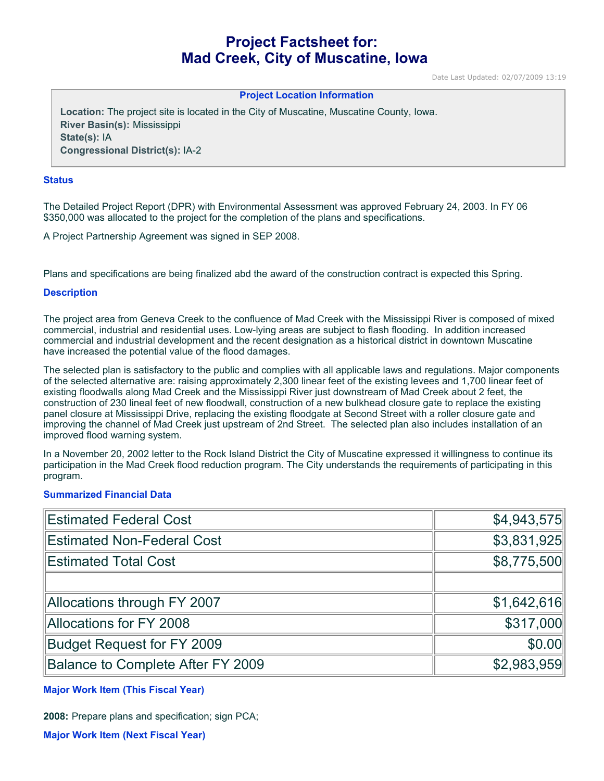# **Project Factsheet for: Mad Creek, City of Muscatine, Iowa**

Date Last Updated: 02/07/2009 13:19

#### **Project Location Information**

**Location:** The project site is located in the City of Muscatine, Muscatine County, Iowa. **River Basin(s):** Mississippi **State(s):** IA **Congressional District(s):** IA-2

#### **Status**

The Detailed Project Report (DPR) with Environmental Assessment was approved February 24, 2003. In FY 06 \$350,000 was allocated to the project for the completion of the plans and specifications.

A Project Partnership Agreement was signed in SEP 2008.

Plans and specifications are being finalized abd the award of the construction contract is expected this Spring.

#### **Description**

The project area from Geneva Creek to the confluence of Mad Creek with the Mississippi River is composed of mixed commercial, industrial and residential uses. Low-lying areas are subject to flash flooding. In addition increased commercial and industrial development and the recent designation as a historical district in downtown Muscatine have increased the potential value of the flood damages.

The selected plan is satisfactory to the public and complies with all applicable laws and regulations. Major components of the selected alternative are: raising approximately 2,300 linear feet of the existing levees and 1,700 linear feet of existing floodwalls along Mad Creek and the Mississippi River just downstream of Mad Creek about 2 feet, the construction of 230 lineal feet of new floodwall, construction of a new bulkhead closure gate to replace the existing panel closure at Mississippi Drive, replacing the existing floodgate at Second Street with a roller closure gate and improving the channel of Mad Creek just upstream of 2nd Street. The selected plan also includes installation of an improved flood warning system.

In a November 20, 2002 letter to the Rock Island District the City of Muscatine expressed it willingness to continue its participation in the Mad Creek flood reduction program. The City understands the requirements of participating in this program.

### **Summarized Financial Data**

| <b>Estimated Federal Cost</b>     | \$4,943,575 |
|-----------------------------------|-------------|
| <b>Estimated Non-Federal Cost</b> | \$3,831,925 |
| <b>Estimated Total Cost</b>       | \$8,775,500 |
|                                   |             |
| Allocations through FY 2007       | \$1,642,616 |
| <b>Allocations for FY 2008</b>    | \$317,000   |
| <b>Budget Request for FY 2009</b> | \$0.00      |
| Balance to Complete After FY 2009 | \$2,983,959 |

**Major Work Item (This Fiscal Year)**

**2008:** Prepare plans and specification; sign PCA;

**Major Work Item (Next Fiscal Year)**